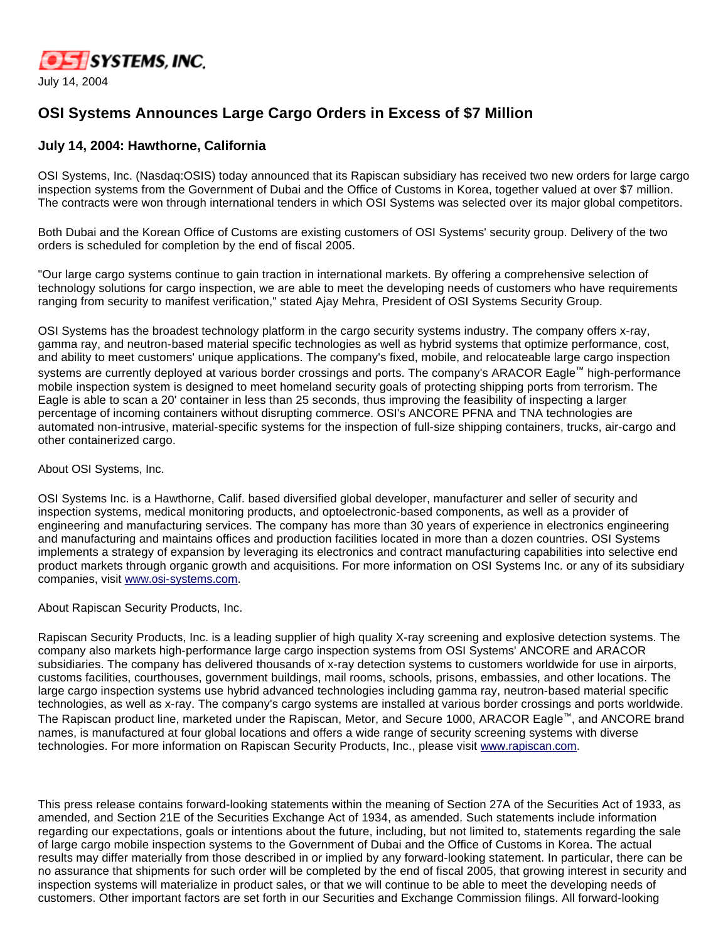

## **OSI Systems Announces Large Cargo Orders in Excess of \$7 Million**

## **July 14, 2004: Hawthorne, California**

OSI Systems, Inc. (Nasdaq:OSIS) today announced that its Rapiscan subsidiary has received two new orders for large cargo inspection systems from the Government of Dubai and the Office of Customs in Korea, together valued at over \$7 million. The contracts were won through international tenders in which OSI Systems was selected over its major global competitors.

Both Dubai and the Korean Office of Customs are existing customers of OSI Systems' security group. Delivery of the two orders is scheduled for completion by the end of fiscal 2005.

"Our large cargo systems continue to gain traction in international markets. By offering a comprehensive selection of technology solutions for cargo inspection, we are able to meet the developing needs of customers who have requirements ranging from security to manifest verification," stated Ajay Mehra, President of OSI Systems Security Group.

OSI Systems has the broadest technology platform in the cargo security systems industry. The company offers x-ray, gamma ray, and neutron-based material specific technologies as well as hybrid systems that optimize performance, cost, and ability to meet customers' unique applications. The company's fixed, mobile, and relocateable large cargo inspection systems are currently deployed at various border crossings and ports. The company's ARACOR Eagle™ high-performance mobile inspection system is designed to meet homeland security goals of protecting shipping ports from terrorism. The Eagle is able to scan a 20' container in less than 25 seconds, thus improving the feasibility of inspecting a larger percentage of incoming containers without disrupting commerce. OSI's ANCORE PFNA and TNA technologies are automated non-intrusive, material-specific systems for the inspection of full-size shipping containers, trucks, air-cargo and other containerized cargo.

## About OSI Systems, Inc.

OSI Systems Inc. is a Hawthorne, Calif. based diversified global developer, manufacturer and seller of security and inspection systems, medical monitoring products, and optoelectronic-based components, as well as a provider of engineering and manufacturing services. The company has more than 30 years of experience in electronics engineering and manufacturing and maintains offices and production facilities located in more than a dozen countries. OSI Systems implements a strategy of expansion by leveraging its electronics and contract manufacturing capabilities into selective end product markets through organic growth and acquisitions. For more information on OSI Systems Inc. or any of its subsidiary companies, visit [www.osi-systems.com.](http://www.osi-systems.com/)

About Rapiscan Security Products, Inc.

Rapiscan Security Products, Inc. is a leading supplier of high quality X-ray screening and explosive detection systems. The company also markets high-performance large cargo inspection systems from OSI Systems' ANCORE and ARACOR subsidiaries. The company has delivered thousands of x-ray detection systems to customers worldwide for use in airports, customs facilities, courthouses, government buildings, mail rooms, schools, prisons, embassies, and other locations. The large cargo inspection systems use hybrid advanced technologies including gamma ray, neutron-based material specific technologies, as well as x-ray. The company's cargo systems are installed at various border crossings and ports worldwide. The Rapiscan product line, marketed under the Rapiscan, Metor, and Secure 1000, ARACOR Eagle™, and ANCORE brand names, is manufactured at four global locations and offers a wide range of security screening systems with diverse technologies. For more information on Rapiscan Security Products, Inc., please visit [www.rapiscan.com](http://www.rapiscan.com/).

This press release contains forward-looking statements within the meaning of Section 27A of the Securities Act of 1933, as amended, and Section 21E of the Securities Exchange Act of 1934, as amended. Such statements include information regarding our expectations, goals or intentions about the future, including, but not limited to, statements regarding the sale of large cargo mobile inspection systems to the Government of Dubai and the Office of Customs in Korea. The actual results may differ materially from those described in or implied by any forward-looking statement. In particular, there can be no assurance that shipments for such order will be completed by the end of fiscal 2005, that growing interest in security and inspection systems will materialize in product sales, or that we will continue to be able to meet the developing needs of customers. Other important factors are set forth in our Securities and Exchange Commission filings. All forward-looking